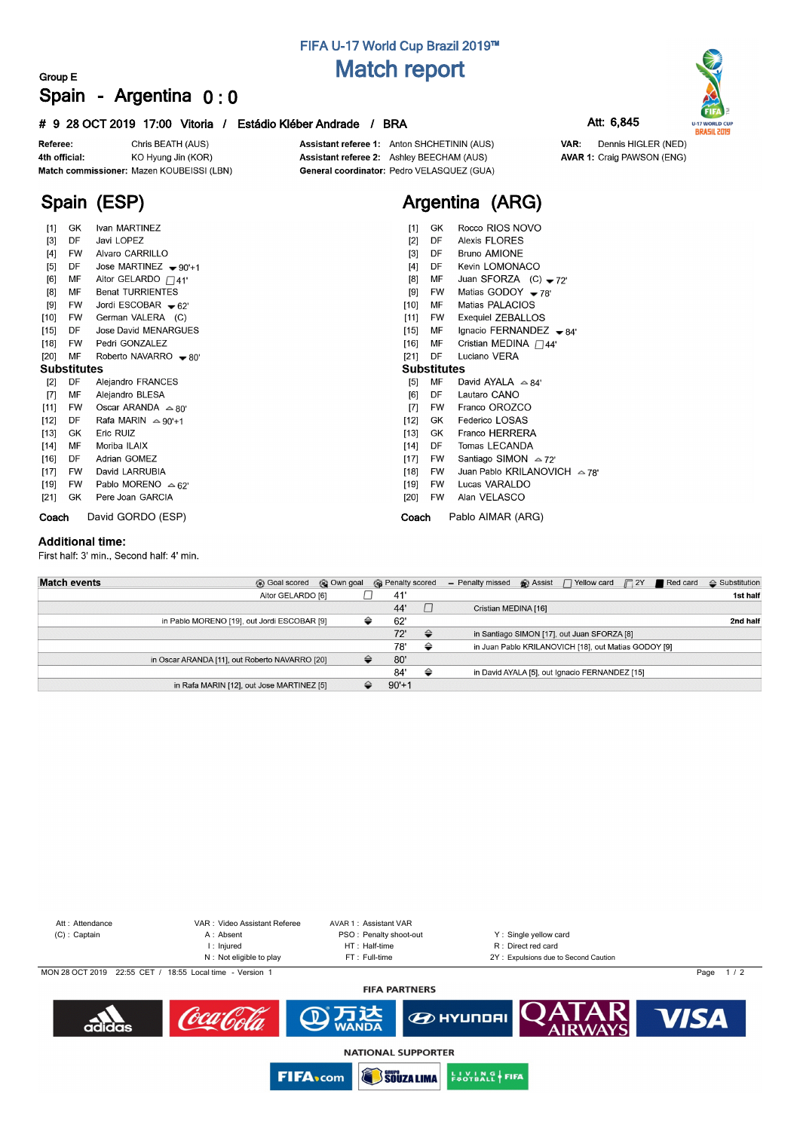# **FIFA U-17 World Cup Brazil 2019™ Match report**

### **Group E Spain - Argentina 0 : 0**

### **# 9 28 OCT 2019 17:00 Vitoria / Estádio Kléber Andrade / BRA Att: 6,845**

Referee: Chris BEATH (AUS) 4th official: KO Hyung Jin (KOR) Match commissioner: Mazen KOUBEISSI (LBN)

Ivan MARTINEZ

Jose MARTINEZ - 90'+1

Aitor GELARDO  $\Box$ 41'

Jordi ESCOBAR - 62'

German VALERA (C) Jose David MENARGUES

Roberto NAVARRO - 80'

Pedri GONZALEZ

Alejandro FRANCES

Oscar ARANDA  $\approx 80^{\circ}$ Rafa MARIN  $\triangle 90'+1$ 

Pablo MORENO  $\approx$  62'

Pere Joan GARCIA

Alejandro BLESA

Benat TURRIENTES

Javi LOPEZ Alvaro CARRILLO

**Spain (ESP)**

**GK** 

**MF** 

MF

DF  $[12]$ 

GK

**FW**  $[19]$  $[21]$ GK

 $[1]$  $[3]$ DF

 $[4]$ **FW** 

 $[5]$ DE  $[6]$ MF

 $[8]$  $[9]$ **FW** 

 $[10]$ **FW** 

 $[15]$ DE

 $[18]$ **FW** 

 $[20]$ **Substitutes** 

 $[2]$ DF  $[7]$ MF

 $[11]$ **FW** 

 $\left[ 13\right]$ **MF** 

 $[14]$  $[16]$ DF

 $[17]$ **FW**  Assistant referee 1: Anton SHCHETININ (AUS) Assistant referee 2: Ashley BEECHAM (AUS) General coordinator: Pedro VELASQUEZ (GUA)



| $[1]$              | GK.       | Rocco RIOS NOVO                     |  |  |  |  |  |  |  |  |  |
|--------------------|-----------|-------------------------------------|--|--|--|--|--|--|--|--|--|
| $[2]$              | DF        | Alexis FLORES                       |  |  |  |  |  |  |  |  |  |
| [3]                | DF        | <b>Bruno AMIONE</b>                 |  |  |  |  |  |  |  |  |  |
| [4]                | DF        | Kevin LOMONACO                      |  |  |  |  |  |  |  |  |  |
| [8]                | МF        | Juan SFORZA $(C) - 72$              |  |  |  |  |  |  |  |  |  |
| [9]                | <b>FW</b> | Matias GODOY $-78'$                 |  |  |  |  |  |  |  |  |  |
| $[10]$             | МF        | Matias PALACIOS                     |  |  |  |  |  |  |  |  |  |
| [11]               | <b>FW</b> | Exequiel ZEBALLOS                   |  |  |  |  |  |  |  |  |  |
| $[15]$             | МF        | Ignacio FERNANDEZ $\rightarrow$ 84' |  |  |  |  |  |  |  |  |  |
| $[16]$             | МF        | Cristian MEDINA $\Box$ 44'          |  |  |  |  |  |  |  |  |  |
| [21]               | DF        | Luciano VERA                        |  |  |  |  |  |  |  |  |  |
| <b>Substitutes</b> |           |                                     |  |  |  |  |  |  |  |  |  |
| [5]                | MF        | David AYALA $\approx$ 84'           |  |  |  |  |  |  |  |  |  |
| [6]                | DF        | Lautaro CANO                        |  |  |  |  |  |  |  |  |  |
| $[7]$              | <b>FW</b> | Franco OROZCO                       |  |  |  |  |  |  |  |  |  |
| $[12]$             | GK.       | Federico LOSAS                      |  |  |  |  |  |  |  |  |  |
| $[13]$             | GK        | Franco HERRERA                      |  |  |  |  |  |  |  |  |  |
| $[14]$             | DF        | Tomas LECANDA                       |  |  |  |  |  |  |  |  |  |
| $[17]$             | <b>FW</b> | Santiago SIMON $\approx$ 72'        |  |  |  |  |  |  |  |  |  |
| [18]               | FW.       |                                     |  |  |  |  |  |  |  |  |  |
| [19]               | FW.       | Lucas VARALDO                       |  |  |  |  |  |  |  |  |  |
| $[20]$             | <b>FW</b> | Alan VELASCO                        |  |  |  |  |  |  |  |  |  |
| Coach              |           | Pablo AIMAR (ARG)                   |  |  |  |  |  |  |  |  |  |

#### **Additional time:**

First half: 3' min., Second half: 4' min.

**Coach** David GORDO (ESP)

Eric RUIZ

Moriba ILAIX

Adrian GOMEZ David LARRUBIA

| <b>Match events</b> | <b>B</b> Goal scored                           | © Own goal |   | <b>R</b> Penalty scored |               | - Penalty missed     | $\bigcirc$ Assist $\bigcap$ Yellow card              | $\sqrt{2Y}$ | Red card | $\triangle$ Substitution |
|---------------------|------------------------------------------------|------------|---|-------------------------|---------------|----------------------|------------------------------------------------------|-------------|----------|--------------------------|
|                     | Aitor GELARDO [6]                              |            |   | 41'                     |               |                      |                                                      |             |          | 1st half                 |
|                     |                                                |            |   | 44'                     |               | Cristian MEDINA [16] |                                                      |             |          |                          |
|                     | in Pablo MORENO [19], out Jordi ESCOBAR [9]    |            | ⇔ | 62'                     |               |                      |                                                      |             |          | 2nd half                 |
|                     |                                                |            |   | 72'                     | $\Rightarrow$ |                      | in Santiago SIMON [17], out Juan SFORZA [8]          |             |          |                          |
|                     |                                                |            |   | 78'                     | ⇔             |                      | in Juan Pablo KRILANOVICH [18], out Matias GODOY [9] |             |          |                          |
|                     | in Oscar ARANDA [11], out Roberto NAVARRO [20] |            | ⇔ | 80'                     |               |                      |                                                      |             |          |                          |
|                     |                                                |            |   | 84'                     | ⇔             |                      | in David AYALA [5], out Ignacio FERNANDEZ [15]       |             |          |                          |
|                     | in Rafa MARIN [12], out Jose MARTINEZ [5]      |            | ≙ | $90'+1$                 |               |                      |                                                      |             |          |                          |



**SOUZA LIMA** 

**EUVING FIFA** 

**FIFA**<sub>scom</sub>



Dennis HIGLER (NED) VAR: **AVAR 1: Craig PAWSON (ENG)**